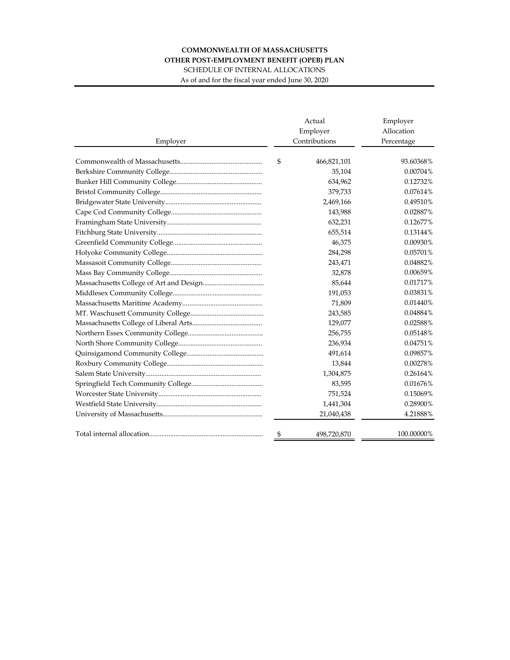## **COMMONWEALTH OF MASSACHUSETTS OTHER POST-EMPLOYMENT BENEFIT (OPEB) PLAN**

SCHEDULE OF INTERNAL ALLOCATIONS

As of and for the fiscal year ended June 30, 2020

|          | Actual<br>Employer | Employer<br>Allocation |  |  |
|----------|--------------------|------------------------|--|--|
| Employer | Contributions      | Percentage             |  |  |
|          | \$<br>466,821,101  | 93.60368%              |  |  |
|          | 35,104             | 0.00704%               |  |  |
|          | 634,962            | 0.12732%               |  |  |
|          | 379,733            | 0.07614%               |  |  |
|          | 2,469,166          | 0.49510%               |  |  |
|          | 143,988            | 0.02887%               |  |  |
|          | 632,231            | 0.12677%               |  |  |
|          | 655,514            | 0.13144%               |  |  |
|          | 46,375             | 0.00930%               |  |  |
|          | 284,298            | 0.05701%               |  |  |
|          | 243,471            | 0.04882%               |  |  |
|          | 32,878             | 0.00659%               |  |  |
|          | 85,644             | 0.01717%               |  |  |
|          | 191,053            | 0.03831%               |  |  |
|          | 71,809             | 0.01440%               |  |  |
|          | 243,585            | 0.04884%               |  |  |
|          | 129,077            | 0.02588%               |  |  |
|          | 256,755            | 0.05148%               |  |  |
|          | 236,934            | 0.04751%               |  |  |
|          | 491,614            | 0.09857%               |  |  |
|          | 13,844             | 0.00278%               |  |  |
|          | 1,304,875          | 0.26164%               |  |  |
|          | 83,595             | $0.01676\%$            |  |  |
|          | 751,524            | 0.15069%               |  |  |
|          | 1,441,304          | 0.28900%               |  |  |
|          | 21,040,438         | 4.21888%               |  |  |
|          | \$<br>498,720,870  | 100.00000%             |  |  |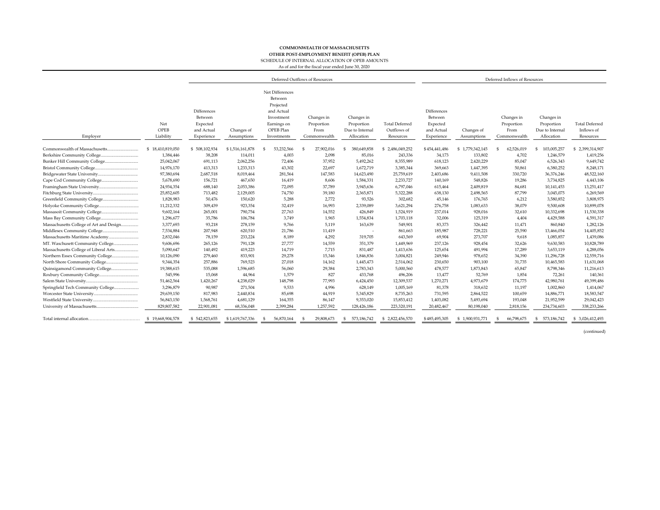## **COMMONWEALTH OF MASSACHUSETTS**

**OTHER POST-EMPLOYMENT BENEFIT (OPEB) PLAN**

SCHEDULE OF INTERNAL ALLOCATION OF OPEB AMOUNTS

As of and for the fiscal year ended June 30, 2020

|                                         |                          | Deferred Outflows of Resources                                 |                           |                                                                                                                |                                                  |                                                           | Deferred Inflows of Resources                     |                                                                |                           |                                                  |                                                           |                                                  |
|-----------------------------------------|--------------------------|----------------------------------------------------------------|---------------------------|----------------------------------------------------------------------------------------------------------------|--------------------------------------------------|-----------------------------------------------------------|---------------------------------------------------|----------------------------------------------------------------|---------------------------|--------------------------------------------------|-----------------------------------------------------------|--------------------------------------------------|
| Employer                                | Net<br>OPEB<br>Liability | Differences<br>Between<br>Expected<br>and Actual<br>Experience | Changes of<br>Assumptions | Net Differences<br>Between<br>Projected<br>and Actual<br>Investment<br>Earnings on<br>OPEB Plan<br>Investments | Changes in<br>Proportion<br>From<br>Commonwealth | Changes in<br>Proportion<br>Due to Internal<br>Allocation | <b>Total Deferred</b><br>Outflows of<br>Resources | Differences<br>Between<br>Expected<br>and Actual<br>Experience | Changes of<br>Assumptions | Changes in<br>Proportion<br>From<br>Commonwealth | Changes in<br>Proportion<br>Due to Internal<br>Allocation | <b>Total Deferred</b><br>Inflows of<br>Resources |
|                                         | \$18,410,819,050         | \$508,102,934                                                  | \$1,516,161,878           | 53,232,566<br>-S                                                                                               | 27,902,016<br>-S                                 | 380,649,858<br>S                                          | \$2,486,049,252                                   | \$454,441,486                                                  | \$1,779,342,145           | 62,526,019<br>-S                                 | 103,005,257<br>\$                                         | \$2,399,314,907                                  |
| Berkshire Community College.            | 1,384,446                | 38,208                                                         | 114,011                   | 4,003                                                                                                          | 2,098                                            | 85,016                                                    | 243,336                                           | 34,173                                                         | 133,802                   | 4,702                                            | 1,246,579                                                 | 1,419,256                                        |
|                                         | 25,042,067               | 691,113                                                        | 2,062,256                 | 72,406                                                                                                         | 37,952                                           | 5,492,262                                                 | 8,355,989                                         | 618,123                                                        | 2,420,229                 | 85,047                                           | 6,526,343                                                 | 9,649,742                                        |
|                                         | 14,976,170               | 413,313                                                        | 1,233,313                 | 43,302                                                                                                         | 22,697                                           | 1,672,719                                                 | 3,385,344                                         | 369,663                                                        | 1,447,395                 | 50,861                                           | 6,380,252                                                 | 8,248,171                                        |
|                                         | 97,380,694               | 2,687,518                                                      | 8,019,464                 | 281,564                                                                                                        | 147,583                                          | 14,623,490                                                | 25,759,619                                        | 2,403,686                                                      | 9,411,508                 | 330,720                                          | 36,376,246                                                | 48,522,160                                       |
|                                         | 5,678,690                | 156,721                                                        | 467,650                   | 16,419                                                                                                         | 8,606                                            | 1,584,331                                                 | 2,233,727                                         | 140,169                                                        | 548,826                   | 19,286                                           | 3,734,825                                                 | 4,443,106                                        |
|                                         | 24,934,354               | 688,140                                                        | 2,053,386                 | 72,095                                                                                                         | 37,789                                           | 3,945,636                                                 | 6,797,046                                         | 615,464                                                        | 2,409,819                 | 84,681                                           | 10,141,453                                                | 13,251,417                                       |
|                                         | 25,852,605               | 713,482                                                        | 2,129,005                 | 74,750                                                                                                         | 39,180                                           | 2,365,871                                                 | 5,322,288                                         | 638,130                                                        | 2,498,565                 | 87,799                                           | 3,045,075                                                 | 6,269,569                                        |
|                                         | 1,828,983                | 50,476                                                         | 150,620                   | 5,288                                                                                                          | 2,772                                            | 93,526                                                    | 302,682                                           | 45,146                                                         | 176,765                   | 6,212                                            | 3,580,852                                                 | 3,808,975                                        |
|                                         | 11,212,332               | 309,439                                                        | 923,354                   | 32,419                                                                                                         | 16,993                                           | 2,339,089                                                 | 3,621,294                                         | 276,758                                                        | 1,083,633                 | 38,079                                           | 9,500,608                                                 | 10,899,078                                       |
|                                         | 9,602,164                | 265,001                                                        | 790,754                   | 27,763                                                                                                         | 14,552                                           | 426,849                                                   | 1,524,919                                         | 237,014                                                        | 928,016                   | 32,610                                           | 10,332,698                                                | 11,530,338                                       |
|                                         | 1,296,677                | 35,786                                                         | 106,784                   | 3,749                                                                                                          | 1,965                                            | 1,554,834                                                 | 1,703,118                                         | 32,006                                                         | 125,319                   | 4,404                                            | 4,429,588                                                 | 4,591,317                                        |
| Massachusetts College of Art and Design | 3,377,693                | 93,218                                                         | 278,159                   | 9,766                                                                                                          | 5,119                                            | 163,639                                                   | 549,901                                           | 83,373                                                         | 326,442                   | 11,471                                           | 860,840                                                   | 1,282,126                                        |
|                                         | 7,534,884                | 207,948                                                        | 620,510                   | 21,786                                                                                                         | 11,419                                           |                                                           | 861,663                                           | 185,987                                                        | 728,221                   | 25,590                                           | 13,466,054                                                | 14,405,852                                       |
|                                         | 2,832,046                | 78,159                                                         | 233,224                   | 8,189                                                                                                          | 4,292                                            | 319,705                                                   | 643,569                                           | 69,904                                                         | 273,707                   | 9,618                                            | 1,085,857                                                 | 1,439,086                                        |
|                                         | 9,606,696                | 265,126                                                        | 791,128                   | 27,777                                                                                                         | 14,559                                           | 351,379                                                   | 1,449,969                                         | 237,126                                                        | 928,454                   | 32,626                                           | 9,630,583                                                 | 10,828,789                                       |
| Massachusetts College of Liberal Arts   | 5,090,647                | 140,492                                                        | 419,223                   | 14,719                                                                                                         | 7,715                                            | 831,487                                                   | 1,413,636                                         | 125,654                                                        | 491,994                   | 17,289                                           | 3,653,119                                                 | 4,288,056                                        |
|                                         | 10,126,090               | 279,460                                                        | 833,901                   | 29,278                                                                                                         | 15,346                                           | 1,846,836                                                 | 3,004,821                                         | 249,946                                                        | 978,652                   | 34,390                                           | 11,296,728                                                | 12,559,716                                       |
|                                         | 9,344,354                | 257,886                                                        | 769,523                   | 27,018                                                                                                         | 14,162                                           | 1,445,473                                                 | 2,514,062                                         | 230,650                                                        | 903,100                   | 31.735                                           | 10,465,583                                                | 11,631,068                                       |
|                                         | 19,388,615               | 535,088                                                        | 1,596,685                 | 56,060                                                                                                         | 29,384                                           | 2,783,343                                                 | 5,000,560                                         | 478,577                                                        | 1,873,843                 | 65,847                                           | 8,798,346                                                 | 11,216,613                                       |
|                                         | 545,996                  | 15,068                                                         | 44,964                    | 1,579                                                                                                          | 827                                              | 433,768                                                   | 496,206                                           | 13,477                                                         | 52,769                    | 1,854                                            | 72,261                                                    | 140,361                                          |
|                                         | 51,462,564               | 1,420,267                                                      | 4,238,029                 | 148,798                                                                                                        | 77,993                                           | 6,424,450                                                 | 12,309,537                                        | 1,270,271                                                      | 4,973,679                 | 174,775                                          | 42,980,761                                                | 49,399,486                                       |
| Springfield Tech Community College      | 3,296,879                | 90,987                                                         | 271,504                   | 9,533                                                                                                          | 4,996                                            | 628,149                                                   | 1,005,169                                         | 81,378                                                         | 318,632                   | 11,197                                           | 1,002,860                                                 | 1,414,067                                        |
|                                         | 29,639,150               | 817,983                                                        | 2,440,834                 | 85,698                                                                                                         | 44,919                                           | 5,345,829                                                 | 8,735,263                                         | 731,595                                                        | 2,864,522                 | 100,659                                          | 14,886,771                                                | 18,583,547                                       |
|                                         | 56,843,150               | 1,568,761                                                      | 4,681,129                 | 164,355                                                                                                        | 86,147                                           | 9,353,020                                                 | 15,853,412                                        | 1,403,082                                                      | 5,493,694                 | 193,048                                          | 21,952,599                                                | 29,042,423                                       |
|                                         | 829,807,582              | 22,901,081                                                     | 68,336,048                | 2,399,284                                                                                                      | 1,257,592                                        | 128,426,186                                               | 223,320,191                                       | 20,482,467                                                     | 80,198,040                | 2,818,156                                        | 234,734,603                                               | 338,233,266                                      |
|                                         | \$19,668,904,578         | \$542,823,655                                                  | \$1,619,767,336           | 56,870,164<br>- \$                                                                                             | 29,808,673<br>-S                                 | 573,186,742<br>$\mathfrak{s}$                             | \$2,822,456,570                                   | \$485,495,305                                                  | \$1,900,931,771           | 66,798,675<br>-S                                 | 573,186,742<br>-S                                         | \$ 3,026,412,493                                 |

(continued)